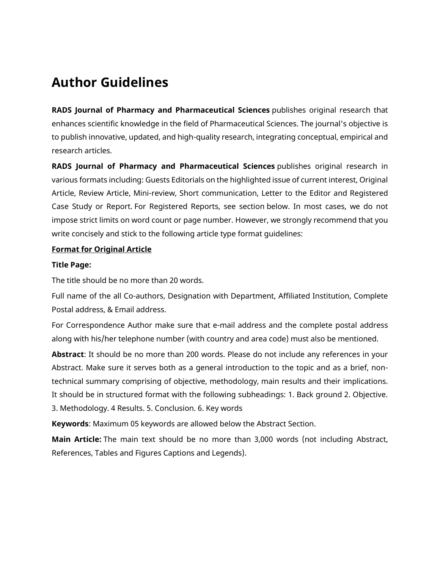# **Author Guidelines**

**RADS Journal of Pharmacy and Pharmaceutical Sciences** publishes original research that enhances scientific knowledge in the field of Pharmaceutical Sciences. The journal's objective is to publish innovative, updated, and high-quality research, integrating conceptual, empirical and research articles.

**RADS Journal of Pharmacy and Pharmaceutical Sciences** publishes original research in various formats including: Guests Editorials on the highlighted issue of current interest, Original Article, Review Article, Mini-review, Short communication, Letter to the Editor and Registered Case Study or Report. For Registered Reports, see section below. In most cases, we do not impose strict limits on word count or page number. However, we strongly recommend that you write concisely and stick to the following article type format guidelines:

## **Format for Original Article**

## **Title Page:**

The title should be no more than 20 words.

Full name of the all Co-authors, Designation with Department, Affiliated Institution, Complete Postal address, & Email address.

For Correspondence Author make sure that e-mail address and the complete postal address along with his/her telephone number (with country and area code) must also be mentioned.

**Abstract**: It should be no more than 200 words. Please do not include any references in your Abstract. Make sure it serves both as a general introduction to the topic and as a brief, nontechnical summary comprising of objective, methodology, main results and their implications. It should be in structured format with the following subheadings: 1. Back ground 2. Objective. 3. Methodology. 4 Results. 5. Conclusion. 6. Key words

**Keywords**: Maximum 05 keywords are allowed below the Abstract Section.

**Main Article:** The main text should be no more than 3,000 words (not including Abstract, References, Tables and Figures Captions and Legends).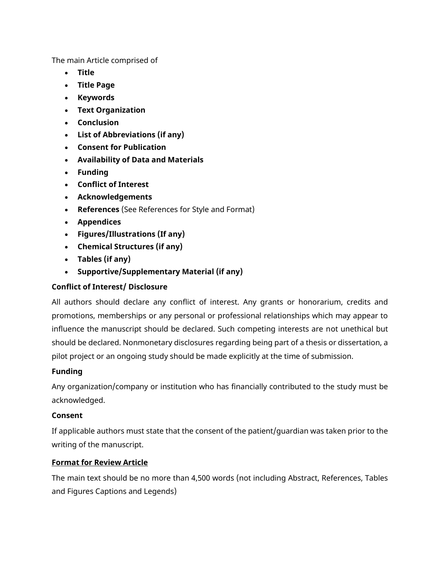The main Article comprised of

- **Title**
- **Title Page**
- **Keywords**
- **Text Organization**
- **Conclusion**
- **List of Abbreviations (if any)**
- **Consent for Publication**
- **Availability of Data and Materials**
- **Funding**
- **Conflict of Interest**
- **Acknowledgements**
- **References** (See References for Style and Format)
- **Appendices**
- **Figures/Illustrations (If any)**
- **Chemical Structures (if any)**
- **Tables (if any)**
- **Supportive/Supplementary Material (if any)**

# **Conflict of Interest/ Disclosure**

All authors should declare any conflict of interest. Any grants or honorarium, credits and promotions, memberships or any personal or professional relationships which may appear to influence the manuscript should be declared. Such competing interests are not unethical but should be declared. Nonmonetary disclosures regarding being part of a thesis or dissertation, a pilot project or an ongoing study should be made explicitly at the time of submission.

# **Funding**

Any organization/company or institution who has financially contributed to the study must be acknowledged.

## **Consent**

If applicable authors must state that the consent of the patient/guardian was taken prior to the writing of the manuscript.

# **Format for Review Article**

The main text should be no more than 4,500 words (not including Abstract, References, Tables and Figures Captions and Legends)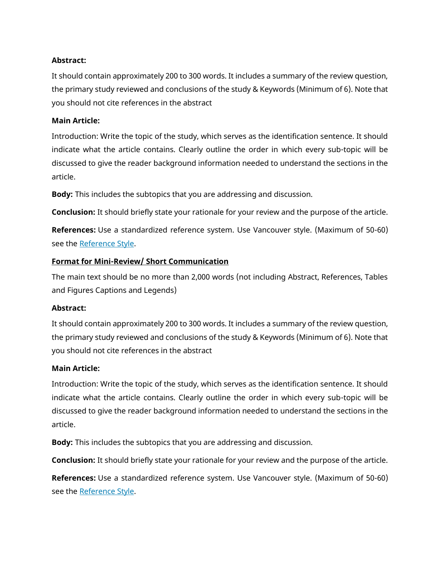## **Abstract:**

It should contain approximately 200 to 300 words. It includes a summary of the review question, the primary study reviewed and conclusions of the study & Keywords (Minimum of 6). Note that you should not cite references in the abstract

## **Main Article:**

Introduction: Write the topic of the study, which serves as the identification sentence. It should indicate what the article contains. Clearly outline the order in which every sub-topic will be discussed to give the reader background information needed to understand the sections in the article.

**Body:** This includes the subtopics that you are addressing and discussion.

**Conclusion:** It should briefly state your rationale for your review and the purpose of the article.

**References:** Use a standardized reference system. Use Vancouver style. (Maximum of 50-60) see the [Reference Style.](https://jpps.juw.edu.pk/index.php/jpps/Journal%20Summary.docx)

## **Format for Mini-Review/ Short Communication**

The main text should be no more than 2,000 words (not including Abstract, References, Tables and Figures Captions and Legends)

## **Abstract:**

It should contain approximately 200 to 300 words. It includes a summary of the review question, the primary study reviewed and conclusions of the study & Keywords (Minimum of 6). Note that you should not cite references in the abstract

## **Main Article:**

Introduction: Write the topic of the study, which serves as the identification sentence. It should indicate what the article contains. Clearly outline the order in which every sub-topic will be discussed to give the reader background information needed to understand the sections in the article.

**Body:** This includes the subtopics that you are addressing and discussion.

**Conclusion:** It should briefly state your rationale for your review and the purpose of the article.

**References:** Use a standardized reference system. Use Vancouver style. (Maximum of 50-60) see the [Reference Style.](https://jpps.juw.edu.pk/index.php/jpps/Journal%20Summary.docx)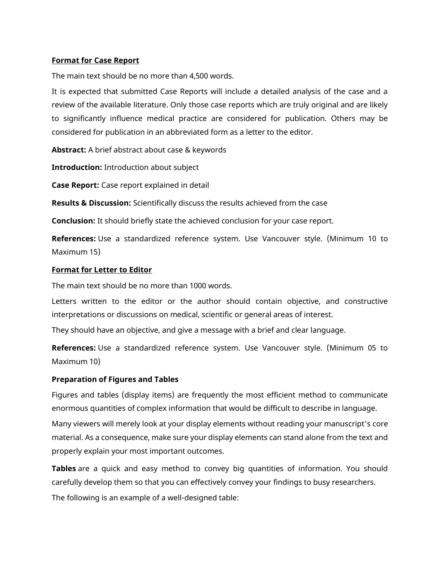## **Format for Case Report**

The main text should be no more than 4,500 words.

It is expected that submitted Case Reports will include a detailed analysis of the case and a review of the available literature. Only those case reports which are truly original and are likely to significantly influence medical practice are considered for publication. Others may be considered for publication in an abbreviated form as a letter to the editor.

**Abstract:** A brief abstract about case & keywords

**Introduction:** Introduction about subject

**Case Report:** Case report explained in detail

**Results & Discussion:** Scientifically discuss the results achieved from the case

**Conclusion:** It should briefly state the achieved conclusion for your case report.

**References:** Use a standardized reference system. Use Vancouver style. (Minimum 10 to Maximum 15)

#### **Format for Letter to Editor**

The main text should be no more than 1000 words.

Letters written to the editor or the author should contain objective, and constructive interpretations or discussions on medical, scientific or general areas of interest.

They should have an objective, and give a message with a brief and clear language.

**References:** Use a standardized reference system. Use Vancouver style. (Minimum 05 to Maximum 10)

## **Preparation of Figures and Tables**

Figures and tables (display items) are frequently the most efficient method to communicate enormous quantities of complex information that would be difficult to describe in language.

Many viewers will merely look at your display elements without reading your manuscript's core material. As a consequence, make sure your display elements can stand alone from the text and properly explain your most important outcomes.

**Tables** are a quick and easy method to convey big quantities of information. You should carefully develop them so that you can effectively convey your findings to busy researchers. The following is an example of a well-designed table: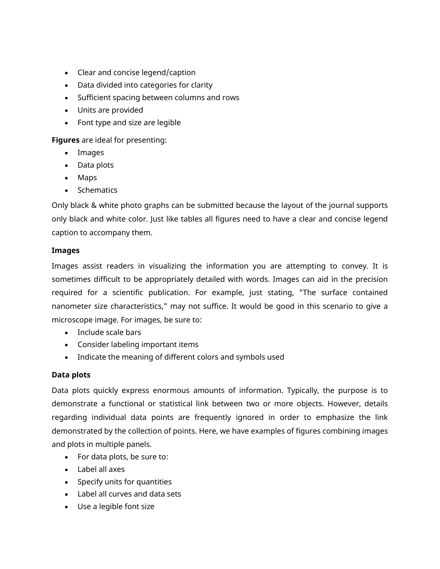- Clear and concise legend/caption
- Data divided into categories for clarity
- Sufficient spacing between columns and rows
- Units are provided
- Font type and size are legible

**Figures** are ideal for presenting:

- Images
- Data plots
- Maps
- Schematics

Only black & white photo graphs can be submitted because the layout of the journal supports only black and white color. Just like tables all figures need to have a clear and concise legend caption to accompany them.

## **Images**

Images assist readers in visualizing the information you are attempting to convey. It is sometimes difficult to be appropriately detailed with words. Images can aid in the precision required for a scientific publication. For example, just stating, "The surface contained nanometer size characteristics," may not suffice. It would be good in this scenario to give a microscope image. For images, be sure to:

- Include scale bars
- Consider labeling important items
- Indicate the meaning of different colors and symbols used

# **Data plots**

Data plots quickly express enormous amounts of information. Typically, the purpose is to demonstrate a functional or statistical link between two or more objects. However, details regarding individual data points are frequently ignored in order to emphasize the link demonstrated by the collection of points. Here, we have examples of figures combining images and plots in multiple panels.

- For data plots, be sure to:
- Label all axes
- Specify units for quantities
- Label all curves and data sets
- Use a legible font size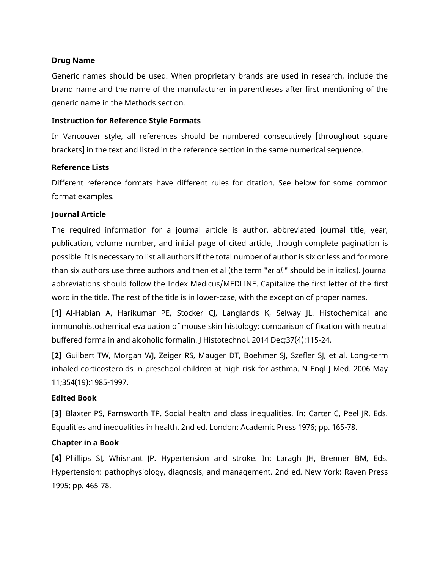#### **Drug Name**

Generic names should be used. When proprietary brands are used in research, include the brand name and the name of the manufacturer in parentheses after first mentioning of the generic name in the Methods section.

#### **Instruction for Reference Style Formats**

In Vancouver style, all references should be numbered consecutively [throughout square brackets] in the text and listed in the reference section in the same numerical sequence.

## **Reference Lists**

Different reference formats have different rules for citation. See below for some common format examples.

#### **Journal Article**

The required information for a journal article is author, abbreviated journal title, year, publication, volume number, and initial page of cited article, though complete pagination is possible. It is necessary to list all authors if the total number of author is six or less and for more than six authors use three authors and then et al (the term "*et al.*" should be in italics). Journal abbreviations should follow the Index Medicus/MEDLINE. Capitalize the first letter of the first word in the title. The rest of the title is in lower-case, with the exception of proper names.

**[1]** Al-Habian A, Harikumar PE, Stocker CJ, Langlands K, Selway JL. Histochemical and immunohistochemical evaluation of mouse skin histology: comparison of fixation with neutral buffered formalin and alcoholic formalin. J Histotechnol. 2014 Dec;37(4):115-24.

**[2]** Guilbert TW, Morgan WJ, Zeiger RS, Mauger DT, Boehmer SJ, Szefler SJ, et al. Long-term inhaled corticosteroids in preschool children at high risk for asthma. N Engl J Med. 2006 May 11;354(19):1985-1997.

## **Edited Book**

**[3]** Blaxter PS, Farnsworth TP. Social health and class inequalities. In: Carter C, Peel JR, Eds. Equalities and inequalities in health. 2nd ed. London: Academic Press 1976; pp. 165-78.

## **Chapter in a Book**

**[4]** Phillips SJ, Whisnant JP. Hypertension and stroke. In: Laragh JH, Brenner BM, Eds. Hypertension: pathophysiology, diagnosis, and management. 2nd ed. New York: Raven Press 1995; pp. 465-78.